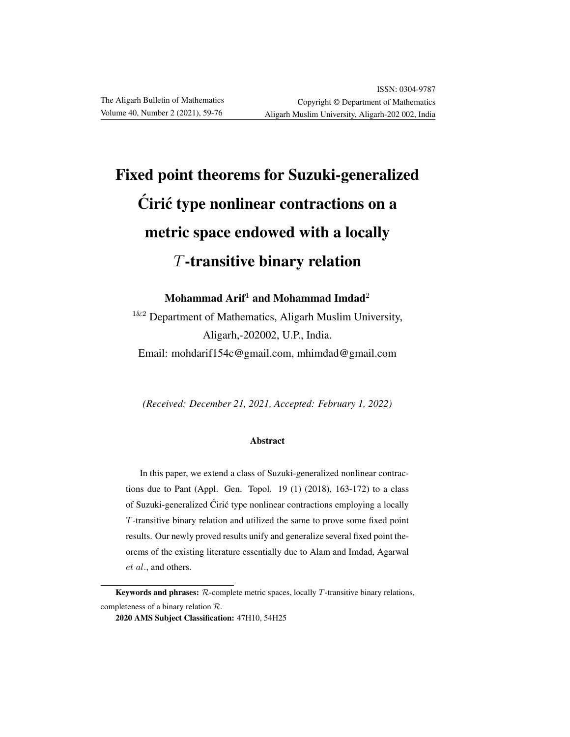# Fixed point theorems for Suzuki-generalized Cirić type nonlinear contractions on a metric space endowed with a locally T-transitive binary relation

Mohammad Arif<sup>1</sup> and Mohammad Imdad<sup>2</sup>

 $1\&2$  Department of Mathematics, Aligarh Muslim University, Aligarh,-202002, U.P., India. Email: mohdarif154c@gmail.com, mhimdad@gmail.com

*(Received: December 21, 2021, Accepted: February 1, 2022)*

#### Abstract

In this paper, we extend a class of Suzuki-generalized nonlinear contractions due to Pant (Appl. Gen. Topol. 19 (1) (2018), 163-172) to a class of Suzuki-generalized Ćirić type nonlinear contractions employing a locally T-transitive binary relation and utilized the same to prove some fixed point results. Our newly proved results unify and generalize several fixed point theorems of the existing literature essentially due to Alam and Imdad, Agarwal et al., and others.

Keywords and phrases:  $R$ -complete metric spaces, locally  $T$ -transitive binary relations, completeness of a binary relation R.

<sup>2020</sup> AMS Subject Classification: 47H10, 54H25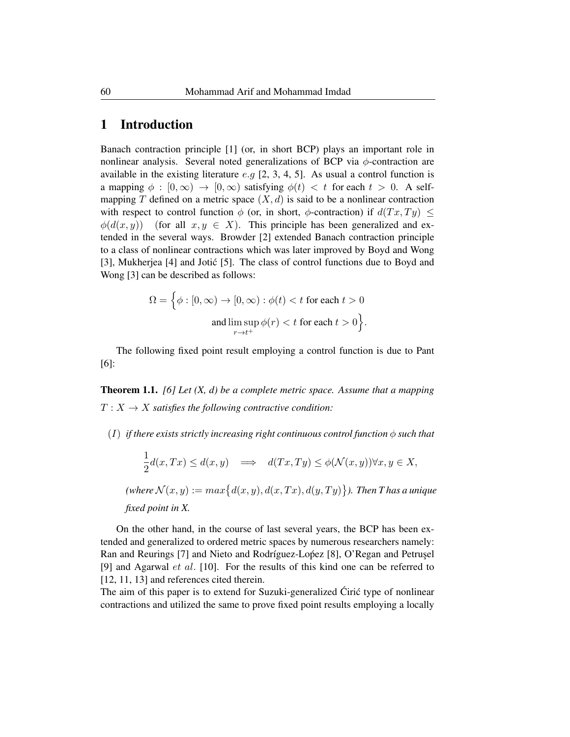## 1 Introduction

Banach contraction principle [1] (or, in short BCP) plays an important role in nonlinear analysis. Several noted generalizations of BCP via  $\phi$ -contraction are available in the existing literature  $e.g$  [2, 3, 4, 5]. As usual a control function is a mapping  $\phi : [0, \infty) \to [0, \infty)$  satisfying  $\phi(t) < t$  for each  $t > 0$ . A selfmapping T defined on a metric space  $(X, d)$  is said to be a nonlinear contraction with respect to control function  $\phi$  (or, in short,  $\phi$ -contraction) if  $d(Tx, Ty) \leq$  $\phi(d(x, y))$  (for all  $x, y \in X$ ). This principle has been generalized and extended in the several ways. Browder [2] extended Banach contraction principle to a class of nonlinear contractions which was later improved by Boyd and Wong [3], Mukherjea [4] and Jotic [5]. The class of control functions due to Boyd and ´ Wong [3] can be described as follows:

$$
\Omega = \Big\{ \phi : [0, \infty) \to [0, \infty) : \phi(t) < t \text{ for each } t > 0
$$
\n
$$
\text{and} \limsup_{r \to t^+} \phi(r) < t \text{ for each } t > 0 \Big\}.
$$

The following fixed point result employing a control function is due to Pant [6]:

Theorem 1.1. *[6] Let (X, d) be a complete metric space. Assume that a mapping*  $T: X \to X$  *satisfies the following contractive condition:* 

 $(I)$  *if there exists strictly increasing right continuous control function*  $\phi$  *such that* 

$$
\frac{1}{2}d(x,Tx) \le d(x,y) \implies d(Tx,Ty) \le \phi(\mathcal{N}(x,y)) \forall x, y \in X,
$$

(where  $\mathcal{N}(x,y) := max\{d(x,y), d(x,Tx), d(y,Ty)\}$ ). Then T has a unique *fixed point in X.*

On the other hand, in the course of last several years, the BCP has been extended and generalized to ordered metric spaces by numerous researchers namely: Ran and Reurings [7] and Nieto and Rodríguez-Lopez [8], O'Regan and Petrusel [9] and Agarwal et al. [10]. For the results of this kind one can be referred to [12, 11, 13] and references cited therein.

The aim of this paper is to extend for Suzuki-generalized Ciric type of nonlinear contractions and utilized the same to prove fixed point results employing a locally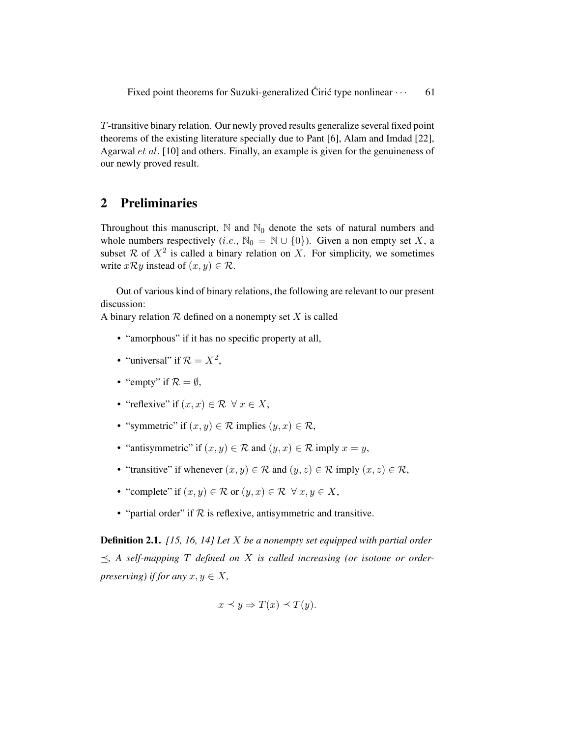T-transitive binary relation. Our newly proved results generalize several fixed point theorems of the existing literature specially due to Pant [6], Alam and Imdad [22], Agarwal et al. [10] and others. Finally, an example is given for the genuineness of our newly proved result.

## 2 Preliminaries

Throughout this manuscript,  $\mathbb N$  and  $\mathbb N_0$  denote the sets of natural numbers and whole numbers respectively (i.e.,  $\mathbb{N}_0 = \mathbb{N} \cup \{0\}$ ). Given a non empty set X, a subset  $\mathcal R$  of  $X^2$  is called a binary relation on X. For simplicity, we sometimes write  $x \mathcal{R} y$  instead of  $(x, y) \in \mathcal{R}$ .

Out of various kind of binary relations, the following are relevant to our present discussion:

A binary relation  $R$  defined on a nonempty set X is called

- "amorphous" if it has no specific property at all,
- "universal" if  $\mathcal{R} = X^2$ ,
- "empty" if  $\mathcal{R} = \emptyset$ ,
- "reflexive" if  $(x, x) \in \mathcal{R} \ \forall \ x \in X$ ,
- "symmetric" if  $(x, y) \in \mathcal{R}$  implies  $(y, x) \in \mathcal{R}$ ,
- "antisymmetric" if  $(x, y) \in \mathcal{R}$  and  $(y, x) \in \mathcal{R}$  imply  $x = y$ ,
- "transitive" if whenever  $(x, y) \in \mathcal{R}$  and  $(y, z) \in \mathcal{R}$  imply  $(x, z) \in \mathcal{R}$ ,
- "complete" if  $(x, y) \in \mathcal{R}$  or  $(y, x) \in \mathcal{R} \ \forall \ x, y \in X$ ,
- "partial order" if  $R$  is reflexive, antisymmetric and transitive.

Definition 2.1. *[15, 16, 14] Let* X *be a nonempty set equipped with partial order*  $\preceq$ , A self-mapping T defined on X is called increasing (or isotone or order*preserving) if for any*  $x, y \in X$ ,

$$
x \preceq y \Rightarrow T(x) \preceq T(y).
$$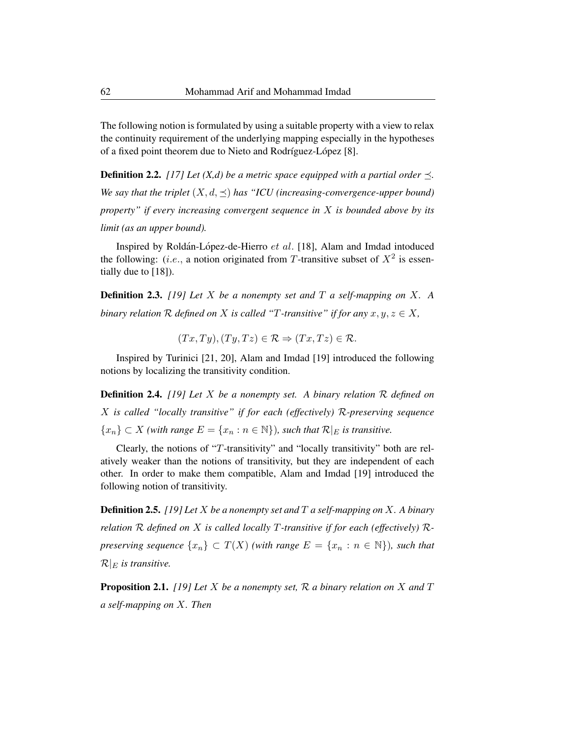The following notion is formulated by using a suitable property with a view to relax the continuity requirement of the underlying mapping especially in the hypotheses of a fixed point theorem due to Nieto and Rodríguez-López [8].

**Definition 2.2.** *[17] Let (X,d) be a metric space equipped with a partial order*  $\prec$ *. We say that the triplet*  $(X, d, \leq)$  *has "ICU (increasing-convergence-upper bound) property" if every increasing convergent sequence in* X *is bounded above by its limit (as an upper bound).*

Inspired by Roldán-López-de-Hierro et al. [18], Alam and Imdad intoduced the following: (*i.e.*, a notion originated from T-transitive subset of  $X^2$  is essentially due to [18]).

Definition 2.3. *[19] Let* X *be a nonempty set and* T *a self-mapping on* X*. A binary relation*  $R$  *defined on*  $X$  *is called "T-transitive" if for any*  $x, y, z \in X$ ,

$$
(Tx, Ty), (Ty, Tz) \in \mathcal{R} \Rightarrow (Tx, Tz) \in \mathcal{R}.
$$

Inspired by Turinici [21, 20], Alam and Imdad [19] introduced the following notions by localizing the transitivity condition.

Definition 2.4. *[19] Let* X *be a nonempty set. A binary relation* R *defined on* X *is called "locally transitive" if for each (effectively)* R*-preserving sequence*  ${x_n}$  ⊂ *X (with range*  $E = {x_n : n \in \mathbb{N}}$ *), such that*  $\mathcal{R}|_E$  *is transitive.* 

Clearly, the notions of "T-transitivity" and "locally transitivity" both are relatively weaker than the notions of transitivity, but they are independent of each other. In order to make them compatible, Alam and Imdad [19] introduced the following notion of transitivity.

Definition 2.5. *[19] Let* X *be a nonempty set and* T *a self-mapping on* X*. A binary relation* R *defined on* X *is called locally* T*-transitive if for each (effectively)* R*preserving sequence*  $\{x_n\} \subset T(X)$  *(with range*  $E = \{x_n : n \in \mathbb{N}\}\)$ *, such that*  $\mathcal{R}|_E$  *is transitive.* 

Proposition 2.1. *[19] Let* X *be a nonempty set,* R *a binary relation on* X *and* T *a self-mapping on* X*. Then*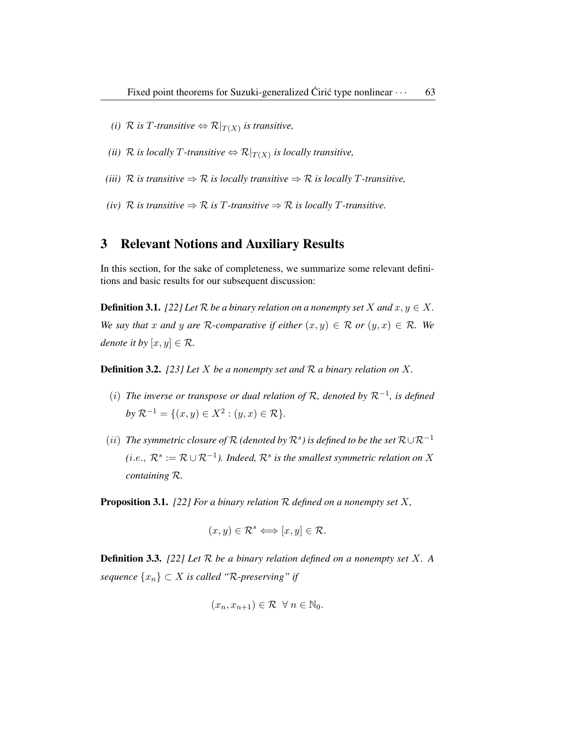- *(i)*  $\mathcal{R}$  *is* T-transitive  $\Leftrightarrow \mathcal{R}|_{T(X)}$  *is transitive,*
- *(ii)*  $\mathcal{R}$  *is locally T-transitive*  $\Leftrightarrow \mathcal{R}|_{T(X)}$  *is locally transitive,*
- *(iii)*  $\mathcal{R}$  *is transitive*  $\Rightarrow \mathcal{R}$  *is locally transitive*  $\Rightarrow \mathcal{R}$  *is locally T-transitive,*
- *(iv)*  $\mathcal{R}$  *is transitive*  $\Rightarrow \mathcal{R}$  *is T-transitive*  $\Rightarrow \mathcal{R}$  *is locally T-transitive.*

#### 3 Relevant Notions and Auxiliary Results

In this section, for the sake of completeness, we summarize some relevant definitions and basic results for our subsequent discussion:

**Definition 3.1.** *[22] Let*  $\mathcal{R}$  *be a binary relation on a nonempty set*  $X$  *and*  $x, y \in X$ *. We say that* x and y are R-comparative if either  $(x, y) \in \mathcal{R}$  or  $(y, x) \in \mathcal{R}$ . We *denote it by*  $[x, y] \in \mathcal{R}$ .

Definition 3.2. *[23] Let* X *be a nonempty set and* R *a binary relation on* X*.*

- (i) *The inverse or transpose or dual relation of* R*, denoted by* R−<sup>1</sup> *, is defined*  $by \mathcal{R}^{-1} = \{(x, y) \in X^2 : (y, x) \in \mathcal{R}\}.$
- $(ii)$  The symmetric closure of R (denoted by  $\mathcal{R}^s$ ) is defined to be the set  $\mathcal{R} \cup \mathcal{R}^{-1}$  $(i.e., R<sup>s</sup> := \mathcal{R} \cup \mathcal{R}<sup>-1</sup>$ *). Indeed,*  $\mathcal{R}^s$  is the smallest symmetric relation on  $X$ *containing* R*.*

Proposition 3.1. *[22] For a binary relation* R *defined on a nonempty set* X*,*

$$
(x, y) \in \mathcal{R}^s \Longleftrightarrow [x, y] \in \mathcal{R}.
$$

Definition 3.3. *[22] Let* R *be a binary relation defined on a nonempty set* X*. A sequence* {xn} ⊂ X *is called "*R*-preserving" if*

$$
(x_n, x_{n+1}) \in \mathcal{R} \ \ \forall \ n \in \mathbb{N}_0.
$$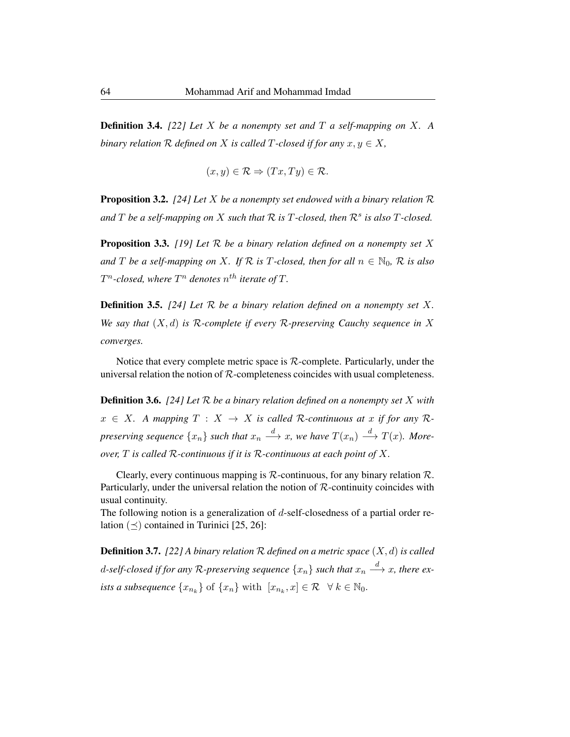Definition 3.4. *[22] Let* X *be a nonempty set and* T *a self-mapping on* X*. A binary relation*  $R$  *defined on*  $X$  *is called*  $T$ -closed *if for any*  $x, y \in X$ ,

$$
(x, y) \in \mathcal{R} \Rightarrow (Tx, Ty) \in \mathcal{R}.
$$

Proposition 3.2. *[24] Let* X *be a nonempty set endowed with a binary relation* R and  $T$  be a self-mapping on  $X$  such that  $\mathcal R$  is  $T$ -closed, then  $\mathcal R^s$  is also  $T$ -closed.

Proposition 3.3. *[19] Let* R *be a binary relation defined on a nonempty set* X *and T be a self-mapping on X.* If  $\mathcal{R}$  *is T*-closed, then for all  $n \in \mathbb{N}_0$ ,  $\mathcal{R}$  *is also*  $T^n$ -closed, where  $T^n$  denotes  $n^{th}$  iterate of  $T$ .

Definition 3.5. *[24] Let* R *be a binary relation defined on a nonempty set* X*. We say that* (X, d) *is* R*-complete if every* R*-preserving Cauchy sequence in* X *converges.*

Notice that every complete metric space is  $R$ -complete. Particularly, under the universal relation the notion of  $R$ -completeness coincides with usual completeness.

Definition 3.6. *[24] Let* R *be a binary relation defined on a nonempty set* X *with*  $x \in X$ . A mapping  $T : X \to X$  is called R-continuous at x if for any Rpreserving sequence  $\{x_n\}$  such that  $x_n \stackrel{d}{\longrightarrow} x$ , we have  $T(x_n) \stackrel{d}{\longrightarrow} T(x)$ *. Moreover,* T *is called* R*-continuous if it is* R*-continuous at each point of* X*.*

Clearly, every continuous mapping is  $R$ -continuous, for any binary relation  $R$ . Particularly, under the universal relation the notion of  $R$ -continuity coincides with usual continuity.

The following notion is a generalization of  $d$ -self-closedness of a partial order relation  $(\preceq)$  contained in Turinici [25, 26]:

Definition 3.7. *[22] A binary relation* R *defined on a metric space* (X, d) *is called* d-self-closed if for any R-preserving sequence  $\{x_n\}$  such that  $x_n\stackrel{d}{\longrightarrow}x$ , there ex*ists a subsequence*  $\{x_{n_k}\}$  of  $\{x_n\}$  with  $[x_{n_k}, x] \in \mathcal{R} \quad \forall \ k \in \mathbb{N}_0$ .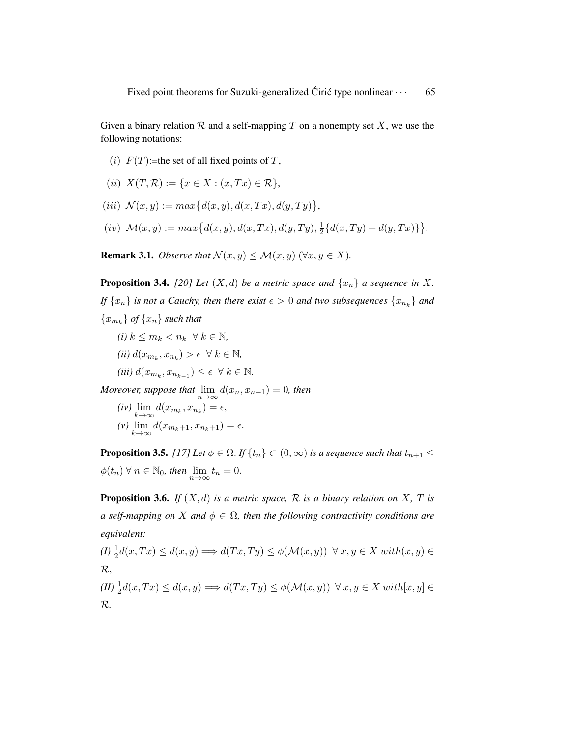Given a binary relation  $R$  and a self-mapping  $T$  on a nonempty set  $X$ , we use the following notations:

(i)  $F(T)$ :=the set of all fixed points of T,

(*ii*) 
$$
X(T, \mathcal{R}) := \{x \in X : (x, Tx) \in \mathcal{R}\},\
$$

- (*iii*)  $\mathcal{N}(x, y) := max\{d(x, y), d(x, Tx), d(y, Ty)\},$
- $(iv)$   $\mathcal{M}(x, y) := max\{d(x, y), d(x, Tx), d(y, Ty), \frac{1}{2}\}$  $\frac{1}{2} \{d(x,Ty)+d(y,Tx)\}\big\}.$

**Remark 3.1.** *Observe that*  $\mathcal{N}(x, y) \leq \mathcal{M}(x, y) \ (\forall x, y \in X)$ .

**Proposition 3.4.** *[20] Let*  $(X, d)$  *be a metric space and*  $\{x_n\}$  *a sequence in* X. *If*  $\{x_n\}$  *is not a Cauchy, then there exist*  $\epsilon > 0$  *and two subsequences*  $\{x_{n_k}\}$  *and*  ${x_{m_k}}$  *of*  ${x_n}$  *such that* 

- $(i)$   $k \leq m_k < n_k \ \forall k \in \mathbb{N}$ ,  $(iii) d(x_{m_k}, x_{n_k}) > \epsilon \ \ \forall \ k \in \mathbb{N},$
- $(iii) d(x_{m_k}, x_{n_{k-1}}) \leq \epsilon \ \ \forall \ k \in \mathbb{N}.$

*Moreover, suppose that*  $\lim_{n\to\infty} d(x_n, x_{n+1}) = 0$ *, then* 

 $(iv) \lim_{k \to \infty} d(x_{m_k}, x_{n_k}) = \epsilon,$  $(v)$   $\lim_{k \to \infty} d(x_{m_k+1}, x_{n_k+1}) = \epsilon.$ 

**Proposition 3.5.** *[17] Let*  $\phi \in \Omega$ . *If*  $\{t_n\} \subset (0, \infty)$  *is a sequence such that*  $t_{n+1} \leq$  $\phi(t_n) \forall n \in \mathbb{N}_0$ , then  $\lim_{n \to \infty} t_n = 0$ .

**Proposition 3.6.** *If*  $(X, d)$  *is a metric space,*  $\mathcal{R}$  *is a binary relation on*  $X$ ,  $T$  *is a self-mapping on X and*  $\phi \in \Omega$ , *then the following contractivity conditions are equivalent:*

$$
(I) \frac{1}{2}d(x,Tx) \le d(x,y) \Longrightarrow d(Tx,Ty) \le \phi(\mathcal{M}(x,y)) \ \forall \ x,y \in X \ with(x,y) \in \mathcal{R},
$$
  

$$
(II) \frac{1}{2}d(x,Tx) \le d(x,y) \Longrightarrow d(Tx,Ty) \le \phi(\mathcal{M}(x,y)) \ \forall \ x,y \in X \ with[x,y] \in \mathcal{R}.
$$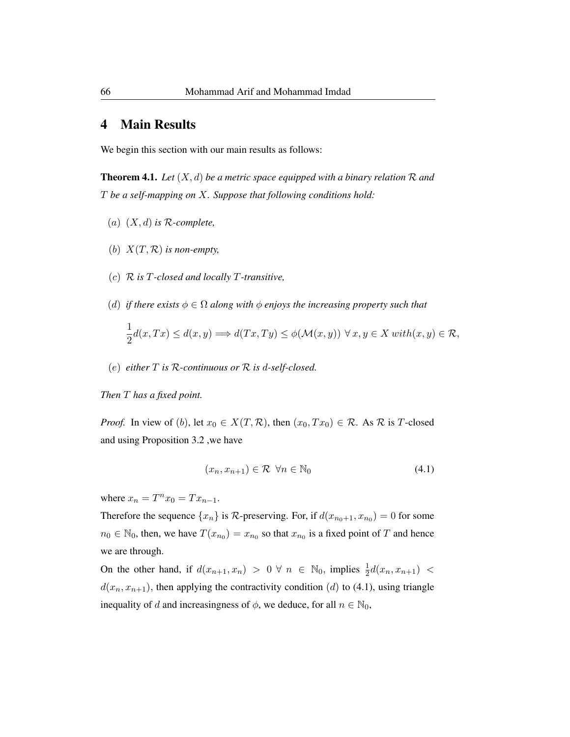### 4 Main Results

We begin this section with our main results as follows:

**Theorem 4.1.** Let  $(X, d)$  be a metric space equipped with a binary relation R and T *be a self-mapping on* X*. Suppose that following conditions hold:*

- (a) (X, d) *is* R*-complete,*
- (b)  $X(T, \mathcal{R})$  *is non-empty*,
- (c) R *is* T*-closed and locally* T*-transitive,*
- (d) *if there exists*  $\phi \in \Omega$  *along with*  $\phi$  *enjoys the increasing property such that*

$$
\frac{1}{2}d(x,Tx) \le d(x,y) \Longrightarrow d(Tx,Ty) \le \phi(\mathcal{M}(x,y)) \,\,\forall \,x,y \in X \,\,with (x,y) \in \mathcal{R},
$$

(e) *either* T *is* R*-continuous or* R *is* d*-self-closed.*

#### *Then* T *has a fixed point.*

*Proof.* In view of (b), let  $x_0 \in X(T, \mathcal{R})$ , then  $(x_0, Tx_0) \in \mathcal{R}$ . As  $\mathcal{R}$  is T-closed and using Proposition 3.2 ,we have

$$
(x_n, x_{n+1}) \in \mathcal{R} \quad \forall n \in \mathbb{N}_0 \tag{4.1}
$$

where  $x_n = T^n x_0 = T x_{n-1}$ .

Therefore the sequence  $\{x_n\}$  is  $\mathcal R$ -preserving. For, if  $d(x_{n_0+1}, x_{n_0}) = 0$  for some  $n_0 \in \mathbb{N}_0$ , then, we have  $T(x_{n_0}) = x_{n_0}$  so that  $x_{n_0}$  is a fixed point of T and hence we are through.

On the other hand, if  $d(x_{n+1}, x_n) > 0 \forall n \in \mathbb{N}_0$ , implies  $\frac{1}{2}d(x_n, x_{n+1}) <$  $d(x_n, x_{n+1})$ , then applying the contractivity condition (d) to (4.1), using triangle inequality of d and increasingness of  $\phi$ , we deduce, for all  $n \in \mathbb{N}_0$ ,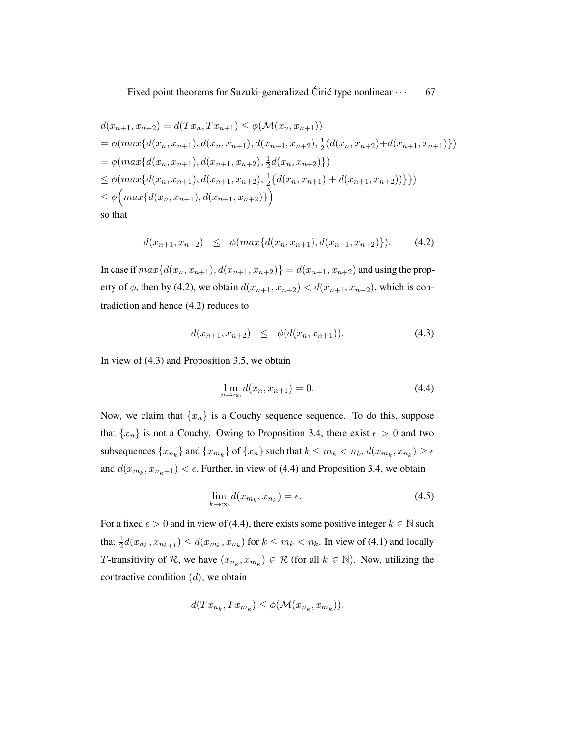$$
d(x_{n+1}, x_{n+2}) = d(Tx_n, Tx_{n+1}) \leq \phi(\mathcal{M}(x_n, x_{n+1}))
$$
  
=  $\phi(max\{d(x_n, x_{n+1}), d(x_n, x_{n+1}), d(x_{n+1}, x_{n+2}), \frac{1}{2}(d(x_n, x_{n+2}) + d(x_{n+1}, x_{n+1})\})$   
=  $\phi(max\{d(x_n, x_{n+1}), d(x_{n+1}, x_{n+2}), \frac{1}{2}d(x_n, x_{n+2})\})$   
 $\leq \phi(max\{d(x_n, x_{n+1}), d(x_{n+1}, x_{n+2}), \frac{1}{2}\{d(x_n, x_{n+1}) + d(x_{n+1}, x_{n+2})\}\})$   
 $\leq \phi\left(max\{d(x_n, x_{n+1}), d(x_{n+1}, x_{n+2})\}\right)$   
so that

$$
d(x_{n+1}, x_{n+2}) \leq \phi(max\{d(x_n, x_{n+1}), d(x_{n+1}, x_{n+2})\}). \tag{4.2}
$$

In case if  $max{d(x_n, x_{n+1}), d(x_{n+1}, x_{n+2})} = d(x_{n+1}, x_{n+2})$  and using the property of  $\phi$ , then by (4.2), we obtain  $d(x_{n+1}, x_{n+2}) < d(x_{n+1}, x_{n+2})$ , which is contradiction and hence (4.2) reduces to

$$
d(x_{n+1}, x_{n+2}) \leq \phi(d(x_n, x_{n+1})). \tag{4.3}
$$

In view of (4.3) and Proposition 3.5, we obtain

$$
\lim_{n \to \infty} d(x_n, x_{n+1}) = 0. \tag{4.4}
$$

Now, we claim that  $\{x_n\}$  is a Couchy sequence sequence. To do this, suppose that  ${x_n}$  is not a Couchy. Owing to Proposition 3.4, there exist  $\epsilon > 0$  and two subsequences  $\{x_{n_k}\}$  and  $\{x_{m_k}\}$  of  $\{x_n\}$  such that  $k \leq m_k < n_k$ ,  $d(x_{m_k}, x_{n_k}) \geq \epsilon$ and  $d(x_{m_k}, x_{n_k-1}) < \epsilon$ . Further, in view of (4.4) and Proposition 3.4, we obtain

$$
\lim_{k \to \infty} d(x_{m_k}, x_{n_k}) = \epsilon. \tag{4.5}
$$

For a fixed  $\epsilon > 0$  and in view of (4.4), there exists some positive integer  $k \in \mathbb{N}$  such that  $\frac{1}{2}d(x_{n_k}, x_{n_{k+1}}) \leq d(x_{m_k}, x_{n_k})$  for  $k \leq m_k < n_k$ . In view of (4.1) and locally T-transitivity of R, we have  $(x_{n_k}, x_{m_k}) \in \mathcal{R}$  (for all  $k \in \mathbb{N}$ ). Now, utilizing the contractive condition  $(d)$ , we obtain

$$
d(Tx_{n_k}, Tx_{m_k}) \leq \phi(\mathcal{M}(x_{n_k}, x_{m_k})).
$$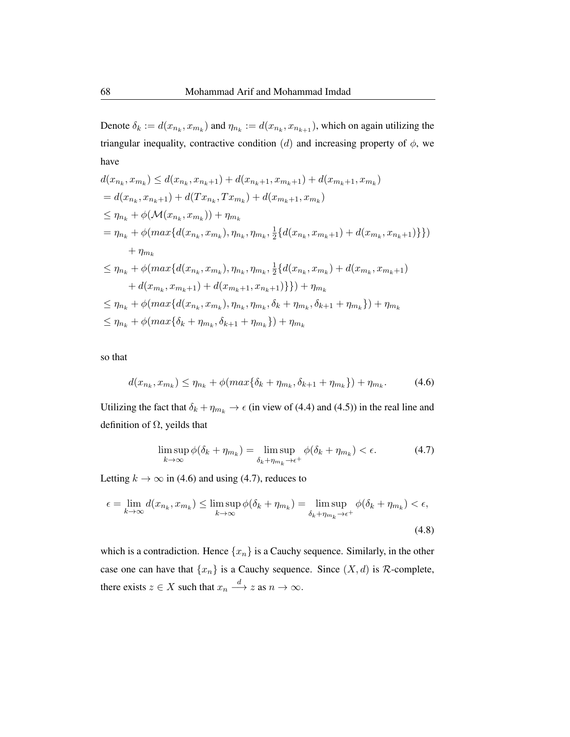Denote  $\delta_k := d(x_{n_k}, x_{m_k})$  and  $\eta_{n_k} := d(x_{n_k}, x_{n_{k+1}})$ , which on again utilizing the triangular inequality, contractive condition (d) and increasing property of  $\phi$ , we have

$$
d(x_{n_k}, x_{m_k}) \leq d(x_{n_k}, x_{n_k+1}) + d(x_{n_k+1}, x_{m_k+1}) + d(x_{m_k+1}, x_{m_k})
$$
  
\n
$$
= d(x_{n_k}, x_{n_k+1}) + d(Tx_{n_k}, Tx_{m_k}) + d(x_{m_k+1}, x_{m_k})
$$
  
\n
$$
\leq \eta_{n_k} + \phi(\mathcal{M}(x_{n_k}, x_{m_k})) + \eta_{m_k}
$$
  
\n
$$
= \eta_{n_k} + \phi(\max\{d(x_{n_k}, x_{m_k}), \eta_{n_k}, \eta_{m_k}, \frac{1}{2}\{d(x_{n_k}, x_{m_k+1}) + d(x_{m_k}, x_{n_k+1})\}\})
$$
  
\n
$$
+ \eta_{m_k}
$$
  
\n
$$
\leq \eta_{n_k} + \phi(\max\{d(x_{n_k}, x_{m_k}), \eta_{n_k}, \eta_{m_k}, \frac{1}{2}\{d(x_{n_k}, x_{m_k}) + d(x_{m_k}, x_{m_k+1})\}
$$
  
\n
$$
+ d(x_{m_k}, x_{m_k+1}) + d(x_{m_k+1}, x_{n_k+1})\}) + \eta_{m_k}
$$
  
\n
$$
\leq \eta_{n_k} + \phi(\max\{d(x_{n_k}, x_{m_k}), \eta_{n_k}, \eta_{m_k}, \delta_k + \eta_{m_k}, \delta_{k+1} + \eta_{m_k}\}) + \eta_{m_k}
$$
  
\n
$$
\leq \eta_{n_k} + \phi(\max\{\delta_k + \eta_{m_k}, \delta_{k+1} + \eta_{m_k}\}) + \eta_{m_k}
$$

so that

$$
d(x_{n_k}, x_{m_k}) \le \eta_{n_k} + \phi(max{\delta_k + \eta_{m_k}, \delta_{k+1} + \eta_{m_k}\}) + \eta_{m_k}.
$$
 (4.6)

Utilizing the fact that  $\delta_k + \eta_{m_k} \to \epsilon$  (in view of (4.4) and (4.5)) in the real line and definition of  $\Omega$ , yeilds that

$$
\limsup_{k \to \infty} \phi(\delta_k + \eta_{m_k}) = \limsup_{\delta_k + \eta_{m_k} \to \epsilon^+} \phi(\delta_k + \eta_{m_k}) < \epsilon. \tag{4.7}
$$

Letting  $k \to \infty$  in (4.6) and using (4.7), reduces to

$$
\epsilon = \lim_{k \to \infty} d(x_{n_k}, x_{m_k}) \le \limsup_{k \to \infty} \phi(\delta_k + \eta_{m_k}) = \limsup_{\delta_k + \eta_{m_k} \to \epsilon^+} \phi(\delta_k + \eta_{m_k}) < \epsilon,
$$
\n
$$
(4.8)
$$

which is a contradiction. Hence  $\{x_n\}$  is a Cauchy sequence. Similarly, in the other case one can have that  $\{x_n\}$  is a Cauchy sequence. Since  $(X, d)$  is  $\mathcal R$ -complete, there exists  $z \in X$  such that  $x_n \stackrel{d}{\longrightarrow} z$  as  $n \to \infty$ .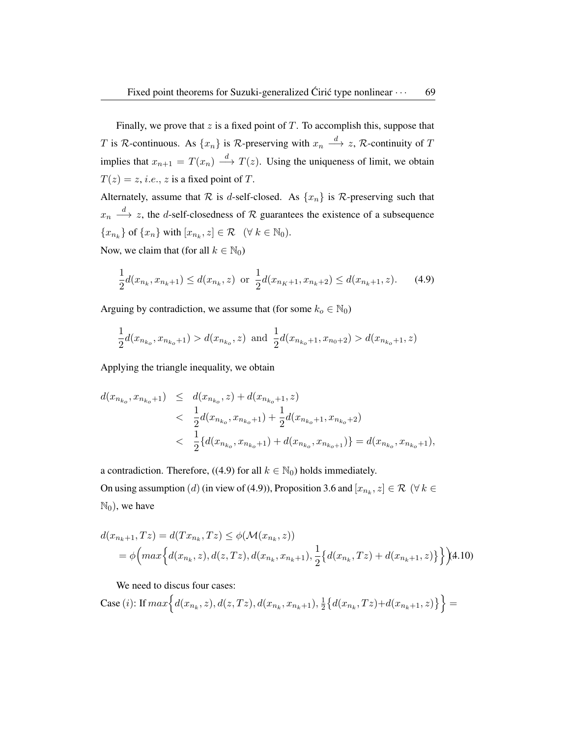Finally, we prove that  $z$  is a fixed point of  $T$ . To accomplish this, suppose that T is R-continuous. As  $\{x_n\}$  is R-preserving with  $x_n \stackrel{d}{\longrightarrow} z$ , R-continuity of T implies that  $x_{n+1} = T(x_n) \stackrel{d}{\longrightarrow} T(z)$ . Using the uniqueness of limit, we obtain  $T(z) = z$ , *i.e.*, *z* is a fixed point of T.

Alternately, assume that  $R$  is d-self-closed. As  $\{x_n\}$  is  $R$ -preserving such that  $x_n \stackrel{d}{\longrightarrow} z$ , the *d*-self-closedness of R guarantees the existence of a subsequence  ${x_{n_k}}$  of  ${x_n}$  with  $[x_{n_k}, z] \in \mathcal{R} \quad (\forall \ k \in \mathbb{N}_0)$ .

Now, we claim that (for all  $k \in \mathbb{N}_0$ )

$$
\frac{1}{2}d(x_{n_k}, x_{n_k+1}) \le d(x_{n_k}, z) \text{ or } \frac{1}{2}d(x_{n_k+1}, x_{n_k+2}) \le d(x_{n_k+1}, z). \tag{4.9}
$$

Arguing by contradiction, we assume that (for some  $k_o \in \mathbb{N}_0$ )

$$
\frac{1}{2}d(x_{n_{k_o}}, x_{n_{k_o}+1}) > d(x_{n_{k_o}}, z) \text{ and } \frac{1}{2}d(x_{n_{k_o}+1}, x_{n_0+2}) > d(x_{n_{k_o}+1}, z)
$$

Applying the triangle inequality, we obtain

$$
d(x_{n_{k_o}}, x_{n_{k_o}+1}) \leq d(x_{n_{k_o}}, z) + d(x_{n_{k_o}+1}, z)
$$
  

$$
< \frac{1}{2}d(x_{n_{k_o}}, x_{n_{k_o}+1}) + \frac{1}{2}d(x_{n_{k_o}+1}, x_{n_{k_o}+2})
$$
  

$$
< \frac{1}{2} \{d(x_{n_{k_o}}, x_{n_{k_o}+1}) + d(x_{n_{k_o}}, x_{n_{k_o+1}}) \} = d(x_{n_{k_o}}, x_{n_{k_o}+1}),
$$

a contradiction. Therefore, ((4.9) for all  $k \in \mathbb{N}_0$ ) holds immediately. On using assumption  $(d)$  (in view of (4.9)), Proposition 3.6 and  $[x_{n_k}, z] \in \mathcal{R}$   $(\forall k \in$  $\mathbb{N}_0$ ), we have

$$
d(x_{n_k+1}, Tz) = d(Tx_{n_k}, Tz) \leq \phi(\mathcal{M}(x_{n_k}, z))
$$
  
=  $\phi\Big(\max\Big\{d(x_{n_k}, z), d(z, Tz), d(x_{n_k}, x_{n_k+1}), \frac{1}{2}\Big\{d(x_{n_k}, Tz) + d(x_{n_k+1}, z)\Big\}\Big\}$  (4.10)

We need to discus four cases:

Case (i): If 
$$
max \Big\{ d(x_{n_k}, z), d(z, Tz), d(x_{n_k}, x_{n_k+1}), \frac{1}{2} \Big\{ d(x_{n_k}, Tz) + d(x_{n_k+1}, z) \Big\} \Big\} =
$$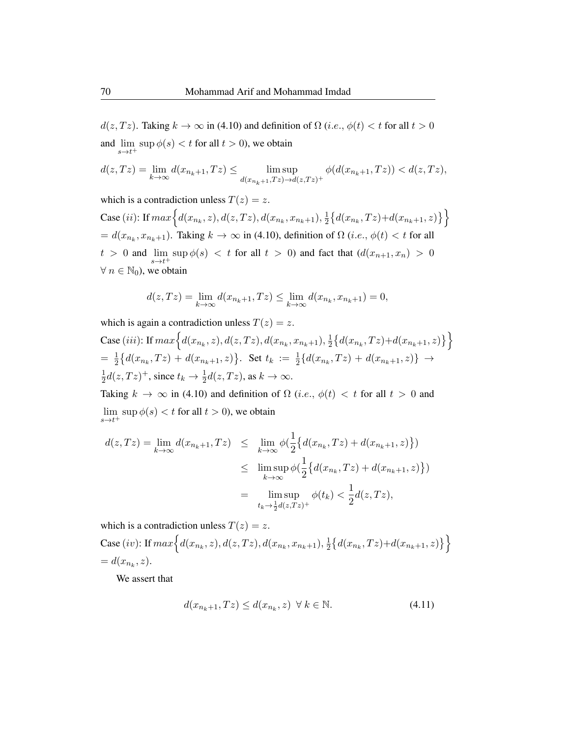$d(z, Tz)$ . Taking  $k \to \infty$  in (4.10) and definition of  $\Omega$  (*i.e.*,  $\phi(t) < t$  for all  $t > 0$ and  $\limsup \phi(s) < t$  for all  $t > 0$ , we obtain  $s\rightarrow t^+$ 

$$
d(z,Tz)=\lim_{k\rightarrow\infty}d(x_{n_k+1},Tz)\leq\limsup_{d(x_{n_k+1},Tz)\rightarrow d(z,Tz)^+}\phi(d(x_{n_k+1},Tz))
$$

which is a contradiction unless  $T(z) = z$ .

Case (*ii*): If  $max \Big\{ d(x_{n_k}, z), d(z, Tz), d(x_{n_k}, x_{n_k+1}), \frac{1}{2} \Big\}$  $\frac{1}{2} \big\{ d(x_{n_k}, Tz) + d(x_{n_k+1}, z) \big\} \big\}$  $= d(x_{n_k}, x_{n_k+1})$ . Taking  $k \to \infty$  in (4.10), definition of  $\Omega$  (*i.e.*,  $\phi(t) < t$  for all  $t > 0$  and  $\lim_{s \to t^+} \sup \phi(s) < t$  for all  $t > 0$ ) and fact that  $(d(x_{n+1}, x_n) > 0$  $\forall n \in \mathbb{N}_0$ , we obtain

$$
d(z,Tz) = \lim_{k \to \infty} d(x_{n_k+1},Tz) \le \lim_{k \to \infty} d(x_{n_k},x_{n_k+1}) = 0,
$$

which is again a contradiction unless  $T(z) = z$ .

Case (iii): If 
$$
max\Big\{d(x_{n_k}, z), d(z, Tz), d(x_{n_k}, x_{n_k+1}), \frac{1}{2}\big\{d(x_{n_k}, Tz) + d(x_{n_k+1}, z)\big\}\Big\}
$$
  
=  $\frac{1}{2}\big\{d(x_{n_k}, Tz) + d(x_{n_k+1}, z)\big\}$ . Set  $t_k := \frac{1}{2}\{d(x_{n_k}, Tz) + d(x_{n_k+1}, z)\} \to \frac{1}{2}d(z, Tz)^+$ , since  $t_k \to \frac{1}{2}d(z, Tz)$ , as  $k \to \infty$ .

Taking  $k \to \infty$  in (4.10) and definition of  $\Omega$  (*i.e.*,  $\phi(t) < t$  for all  $t > 0$  and  $\limsup \phi(s) < t$  for all  $t > 0$ ), we obtain  $s\rightarrow t^+$ 

$$
d(z,Tz) = \lim_{k \to \infty} d(x_{n_k+1},Tz) \leq \lim_{k \to \infty} \phi\left(\frac{1}{2} \{d(x_{n_k},Tz) + d(x_{n_k+1},z)\}\right)
$$
  

$$
\leq \limsup_{k \to \infty} \phi\left(\frac{1}{2} \{d(x_{n_k},Tz) + d(x_{n_k+1},z)\}\right)
$$
  

$$
= \limsup_{t_k \to \frac{1}{2}d(z,Tz)^+} \phi(t_k) < \frac{1}{2}d(z,Tz),
$$

which is a contradiction unless  $T(z) = z$ . Case (iv): If  $max\Big\{d(x_{n_k}, z), d(z, Tz), d(x_{n_k}, x_{n_k+1}), \frac{1}{2}\Big\}$  $\frac{1}{2} \big\{ d(x_{n_k}, Tz) + d(x_{n_k+1}, z) \big\} \big\}$  $= d(x_{n_k}, z).$ 

We assert that

$$
d(x_{n_k+1}, Tz) \le d(x_{n_k}, z) \ \forall \, k \in \mathbb{N}.\tag{4.11}
$$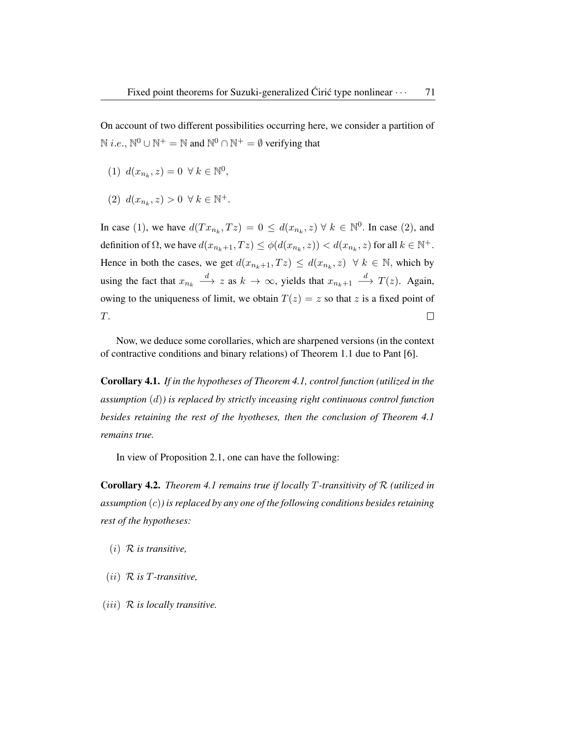On account of two different possibilities occurring here, we consider a partition of  $N$  *i.e.*,  $N^0 \cup N^+ = N$  and  $N^0 \cap N^+ = \emptyset$  verifying that

- (1)  $d(x_{n_k}, z) = 0 \ \forall \ k \in \mathbb{N}^0$ ,
- (2)  $d(x_{n_k}, z) > 0 \ \forall \ k \in \mathbb{N}^+.$

In case (1), we have  $d(Tx_{n_k}, Tz) = 0 \leq d(x_{n_k}, z) \forall k \in \mathbb{N}^0$ . In case (2), and definition of  $\Omega$ , we have  $d(x_{n_k+1}, Tz) \leq \phi(d(x_{n_k}, z)) < d(x_{n_k}, z)$  for all  $k \in \mathbb{N}^+$ . Hence in both the cases, we get  $d(x_{n_k+1}, Tz) \leq d(x_{n_k}, z) \forall k \in \mathbb{N}$ , which by using the fact that  $x_{n_k} \stackrel{d}{\longrightarrow} z$  as  $k \to \infty$ , yields that  $x_{n_k+1} \stackrel{d}{\longrightarrow} T(z)$ . Again, owing to the uniqueness of limit, we obtain  $T(z) = z$  so that z is a fixed point of T.  $\Box$ 

Now, we deduce some corollaries, which are sharpened versions (in the context of contractive conditions and binary relations) of Theorem 1.1 due to Pant [6].

Corollary 4.1. *If in the hypotheses of Theorem 4.1, control function (utilized in the assumption* (d)*) is replaced by strictly inceasing right continuous control function besides retaining the rest of the hyotheses, then the conclusion of Theorem 4.1 remains true.*

In view of Proposition 2.1, one can have the following:

Corollary 4.2. *Theorem 4.1 remains true if locally* T*-transitivity of* R *(utilized in assumption* (c)*) is replaced by any one of the following conditions besides retaining rest of the hypotheses:*

- (i) R *is transitive,*
- (ii) R *is* T*-transitive,*
- (iii) R *is locally transitive.*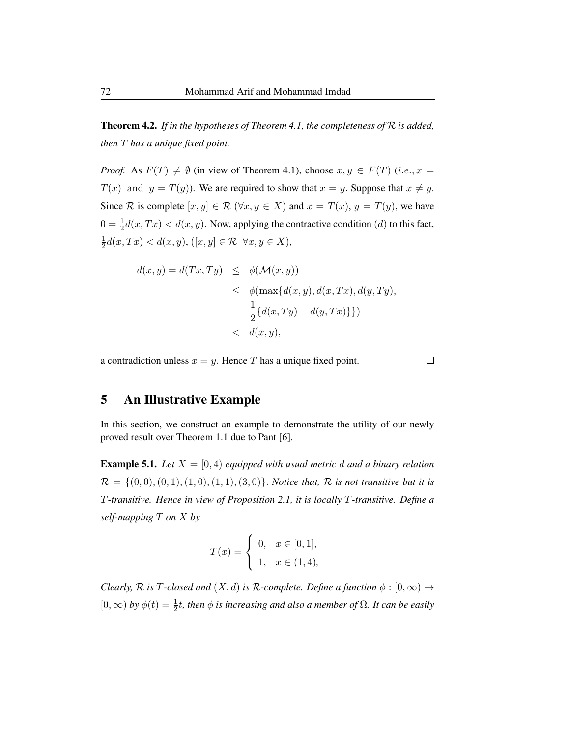Theorem 4.2. *If in the hypotheses of Theorem 4.1, the completeness of* R *is added, then* T *has a unique fixed point.*

*Proof.* As  $F(T) \neq \emptyset$  (in view of Theorem 4.1), choose  $x, y \in F(T)$  (i.e.,  $x =$  $T(x)$  and  $y = T(y)$ ). We are required to show that  $x = y$ . Suppose that  $x \neq y$ . Since R is complete  $[x, y] \in \mathcal{R}$   $(\forall x, y \in X)$  and  $x = T(x), y = T(y)$ , we have  $0 = \frac{1}{2}d(x,Tx) < d(x,y)$ . Now, applying the contractive condition (*d*) to this fact, 1  $\frac{1}{2}d(x,Tx) < d(x,y), ([x,y] \in \mathcal{R} \ \forall x,y \in X),$ 

$$
d(x,y) = d(Tx,Ty) \leq \phi(\mathcal{M}(x,y))
$$
  
\n
$$
\leq \phi(\max\{d(x,y), d(x,Tx), d(y,Ty),
$$
  
\n
$$
\frac{1}{2}\{d(x,Ty) + d(y,Tx)\}\})
$$
  
\n
$$
< d(x,y),
$$

a contradiction unless  $x = y$ . Hence T has a unique fixed point.

 $\Box$ 

# 5 An Illustrative Example

In this section, we construct an example to demonstrate the utility of our newly proved result over Theorem 1.1 due to Pant [6].

**Example 5.1.** *Let*  $X = [0, 4)$  *equipped with usual metric d and a binary relation*  $\mathcal{R} = \{(0,0), (0,1), (1,0), (1,1), (3,0)\}.$  *Notice that,*  $\mathcal{R}$  *is not transitive but it is* T*-transitive. Hence in view of Proposition 2.1, it is locally* T*-transitive. Define a self-mapping* T *on* X *by*

$$
T(x) = \begin{cases} 0, & x \in [0,1], \\ 1, & x \in (1,4), \end{cases}
$$

*Clearly,*  $\mathcal R$  *is*  $T$ *-closed and*  $(X, d)$  *is*  $\mathcal R$ *-complete. Define a function*  $\phi : [0, \infty) \to$  $[0, \infty)$  by  $\phi(t) = \frac{1}{2}t$ , then  $\phi$  is increasing and also a member of  $\Omega$ . It can be easily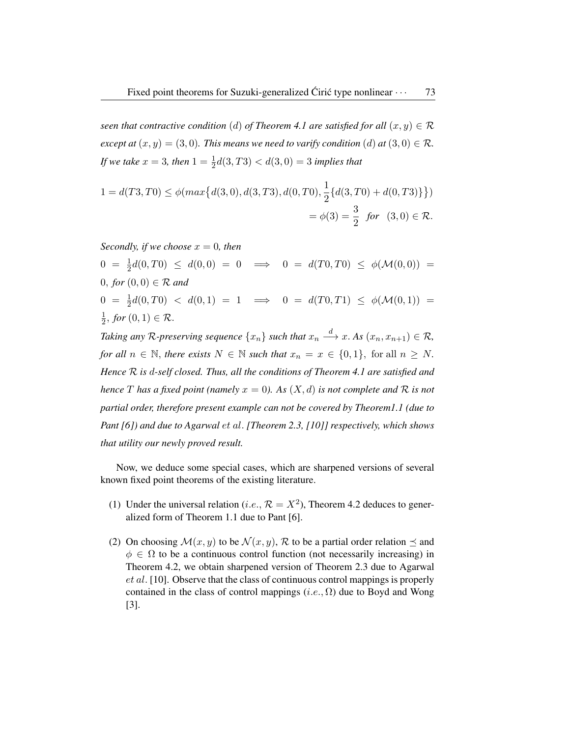*seen that contractive condition* (d) of Theorem 4.1 are satisfied for all  $(x, y) \in \mathcal{R}$ *except at*  $(x, y) = (3, 0)$ *. This means we need to varify condition*  $(d)$  *at*  $(3, 0) \in \mathcal{R}$ *. If we take*  $x = 3$ *, then*  $1 = \frac{1}{2}d(3, T3) < d(3, 0) = 3$  *implies that* 

$$
1 = d(T3, T0) \le \phi(max\{d(3, 0), d(3, T3), d(0, T0), \frac{1}{2}\{d(3, T0) + d(0, T3)\}\})
$$
  
=  $\phi(3) = \frac{3}{2}$  for  $(3, 0) \in \mathcal{R}$ .

*Secondly, if we choose*  $x = 0$ *, then* 

 $0 = \frac{1}{2}d(0, T0) \leq d(0, 0) = 0 \implies 0 = d(T0, T0) \leq \phi(\mathcal{M}(0, 0)) =$ 0, for  $(0, 0) \in \mathcal{R}$  and  $0 = \frac{1}{2}d(0, T0) < d(0, 1) = 1 \implies 0 = d(T0, T1) \le \phi(\mathcal{M}(0, 1)) =$ 1  $\frac{1}{2}$ , for  $(0,1) \in \mathcal{R}$ .

Taking any  $\mathcal R$ -preserving sequence  $\{x_n\}$  such that  $x_n \stackrel{d}{\longrightarrow} x$ . As  $(x_n, x_{n+1}) \in \mathcal R$ , *for all*  $n \in \mathbb{N}$ , *there exists*  $N \in \mathbb{N}$  *such that*  $x_n = x \in \{0, 1\}$ , for all  $n \geq N$ . *Hence* R *is* d*-self closed. Thus, all the conditions of Theorem 4.1 are satisfied and hence* T has a fixed point (namely  $x = 0$ ). As  $(X, d)$  is not complete and R is not *partial order, therefore present example can not be covered by Theorem1.1 (due to Pant [6]) and due to Agarwal* et al. *[Theorem 2.3, [10]] respectively, which shows that utility our newly proved result.*

Now, we deduce some special cases, which are sharpened versions of several known fixed point theorems of the existing literature.

- (1) Under the universal relation (*i.e.*,  $\mathcal{R} = X^2$ ), Theorem 4.2 deduces to generalized form of Theorem 1.1 due to Pant [6].
- (2) On choosing  $\mathcal{M}(x, y)$  to be  $\mathcal{N}(x, y)$ , R to be a partial order relation  $\preceq$  and  $\phi \in \Omega$  to be a continuous control function (not necessarily increasing) in Theorem 4.2, we obtain sharpened version of Theorem 2.3 due to Agarwal et al. [10]. Observe that the class of continuous control mappings is properly contained in the class of control mappings  $(i.e., \Omega)$  due to Boyd and Wong [3].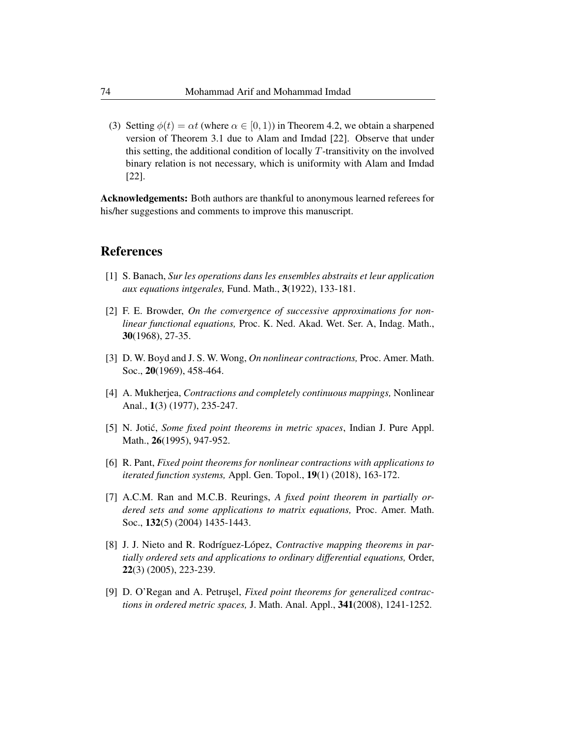(3) Setting  $\phi(t) = \alpha t$  (where  $\alpha \in [0, 1)$ ) in Theorem 4.2, we obtain a sharpened version of Theorem 3.1 due to Alam and Imdad [22]. Observe that under this setting, the additional condition of locally  $T$ -transitivity on the involved binary relation is not necessary, which is uniformity with Alam and Imdad [22].

Acknowledgements: Both authors are thankful to anonymous learned referees for his/her suggestions and comments to improve this manuscript.

### References

- [1] S. Banach, *Sur les operations dans les ensembles abstraits et leur application aux equations intgerales,* Fund. Math., 3(1922), 133-181.
- [2] F. E. Browder, *On the convergence of successive approximations for nonlinear functional equations,* Proc. K. Ned. Akad. Wet. Ser. A, Indag. Math., 30(1968), 27-35.
- [3] D. W. Boyd and J. S. W. Wong, *On nonlinear contractions,* Proc. Amer. Math. Soc., 20(1969), 458-464.
- [4] A. Mukherjea, *Contractions and completely continuous mappings,* Nonlinear Anal., 1(3) (1977), 235-247.
- [5] N. Jotic,´ *Some fixed point theorems in metric spaces*, Indian J. Pure Appl. Math., 26(1995), 947-952.
- [6] R. Pant, *Fixed point theorems for nonlinear contractions with applications to iterated function systems,* Appl. Gen. Topol., 19(1) (2018), 163-172.
- [7] A.C.M. Ran and M.C.B. Reurings, *A fixed point theorem in partially ordered sets and some applications to matrix equations,* Proc. Amer. Math. Soc., 132(5) (2004) 1435-1443.
- [8] J. J. Nieto and R. Rodríguez-López, *Contractive mapping theorems in partially ordered sets and applications to ordinary differential equations,* Order, 22(3) (2005), 223-239.
- [9] D. O'Regan and A. Petrusel, *Fixed point theorems for generalized contractions in ordered metric spaces,* J. Math. Anal. Appl., 341(2008), 1241-1252.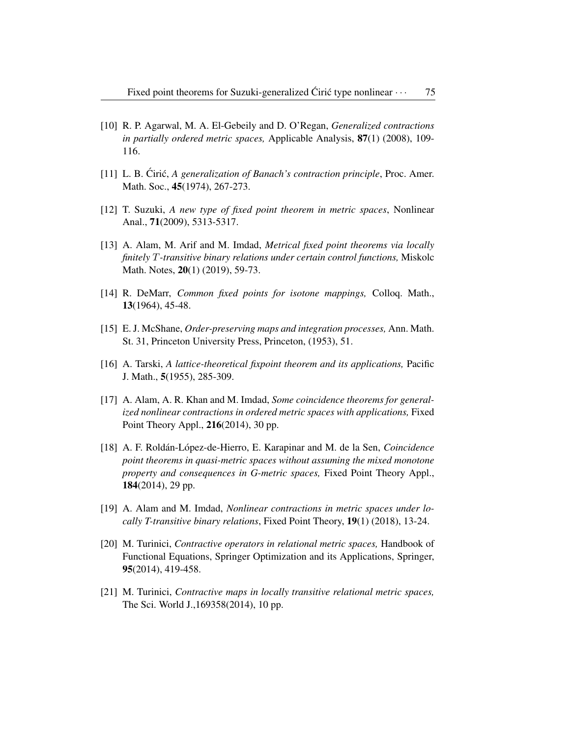- [10] R. P. Agarwal, M. A. El-Gebeily and D. O'Regan, *Generalized contractions in partially ordered metric spaces,* Applicable Analysis, 87(1) (2008), 109- 116.
- [11] L. B. Cirić, A generalization of Banach's contraction principle, Proc. Amer. Math. Soc., **45**(1974), 267-273.
- [12] T. Suzuki, *A new type of fixed point theorem in metric spaces*, Nonlinear Anal., 71(2009), 5313-5317.
- [13] A. Alam, M. Arif and M. Imdad, *Metrical fixed point theorems via locally finitely* T*-transitive binary relations under certain control functions,* Miskolc Math. Notes, 20(1) (2019), 59-73.
- [14] R. DeMarr, *Common fixed points for isotone mappings,* Colloq. Math., 13(1964), 45-48.
- [15] E. J. McShane, *Order-preserving maps and integration processes,* Ann. Math. St. 31, Princeton University Press, Princeton, (1953), 51.
- [16] A. Tarski, *A lattice-theoretical fixpoint theorem and its applications,* Pacific J. Math., 5(1955), 285-309.
- [17] A. Alam, A. R. Khan and M. Imdad, *Some coincidence theorems for generalized nonlinear contractions in ordered metric spaces with applications,* Fixed Point Theory Appl., 216(2014), 30 pp.
- [18] A. F. Rold´an-L´opez-de-Hierro, E. Karapinar and M. de la Sen, *Coincidence point theorems in quasi-metric spaces without assuming the mixed monotone property and consequences in G-metric spaces,* Fixed Point Theory Appl., 184(2014), 29 pp.
- [19] A. Alam and M. Imdad, *Nonlinear contractions in metric spaces under locally T-transitive binary relations*, Fixed Point Theory, 19(1) (2018), 13-24.
- [20] M. Turinici, *Contractive operators in relational metric spaces,* Handbook of Functional Equations, Springer Optimization and its Applications, Springer, 95(2014), 419-458.
- [21] M. Turinici, *Contractive maps in locally transitive relational metric spaces,* The Sci. World J.,169358(2014), 10 pp.